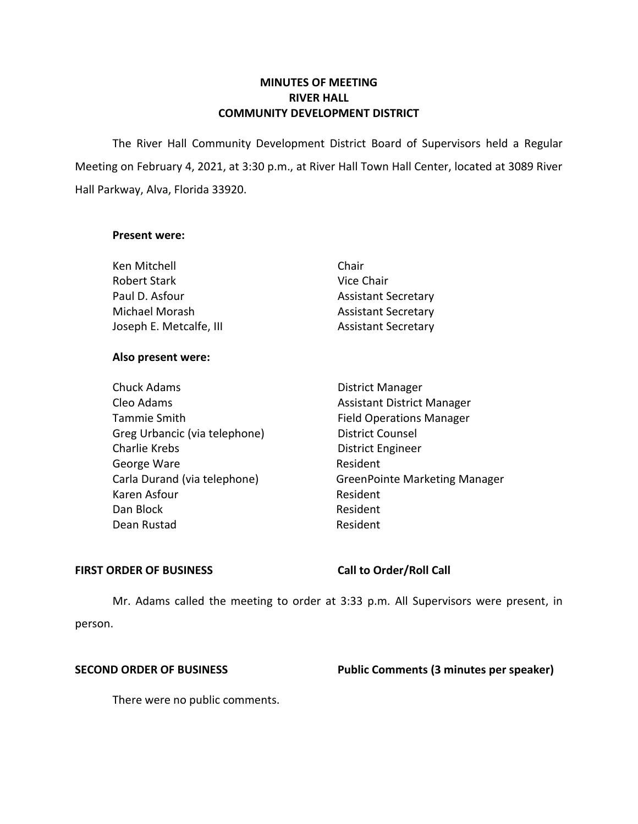# **MINUTES OF MEETING RIVER HALL COMMUNITY DEVELOPMENT DISTRICT**

 The River Hall Community Development District Board of Supervisors held a Regular Meeting on February 4, 2021, at 3:30 p.m., at River Hall Town Hall Center, located at 3089 River Hall Parkway, Alva, Florida 33920.

### **Present were:**

| Ken Mitchell            | Chair                      |
|-------------------------|----------------------------|
| <b>Robert Stark</b>     | Vice Chair                 |
| Paul D. Asfour          | <b>Assistant Secretary</b> |
| Michael Morash          | <b>Assistant Secretary</b> |
| Joseph E. Metcalfe, III | <b>Assistant Secretary</b> |

# **Also present were:**

| <b>Chuck Adams</b>            | District Manager                     |
|-------------------------------|--------------------------------------|
| Cleo Adams                    | <b>Assistant District Manager</b>    |
| Tammie Smith                  | <b>Field Operations Manager</b>      |
| Greg Urbancic (via telephone) | <b>District Counsel</b>              |
| Charlie Krebs                 | <b>District Engineer</b>             |
| George Ware                   | Resident                             |
| Carla Durand (via telephone)  | <b>GreenPointe Marketing Manager</b> |
| Karen Asfour                  | Resident                             |
| Dan Block                     | Resident                             |
| Dean Rustad                   | Resident                             |

### **FIRST ORDER OF BUSINESS**

# **Call to Order/Roll Call**

 Mr. Adams called the meeting to order at 3:33 p.m. All Supervisors were present, in person.

# **SECOND ORDER OF BUSINESS** Public Comments (3 minutes per speaker)

There were no public comments.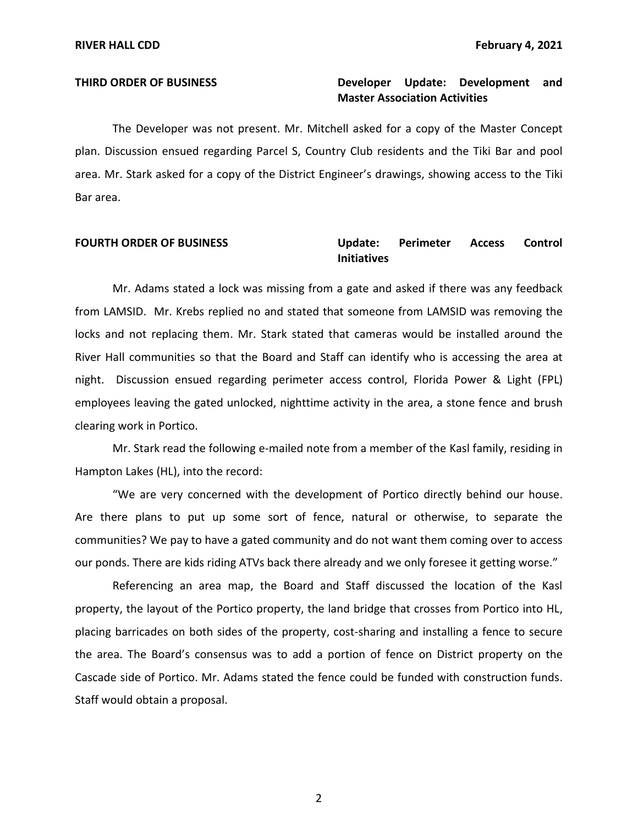# **THIRD ORDER OF BUSINESS Developer Update: Development and Master Association Activities**

 The Developer was not present. Mr. Mitchell asked for a copy of the Master Concept plan. Discussion ensued regarding Parcel S, Country Club residents and the Tiki Bar and pool area. Mr. Stark asked for a copy of the District Engineer's drawings, showing access to the Tiki Bar area.

### **Perimeter FOURTH ORDER OF BUSINESS Update: Perimeter Access Control Initiatives**

 Mr. Adams stated a lock was missing from a gate and asked if there was any feedback from LAMSID. Mr. Krebs replied no and stated that someone from LAMSID was removing the locks and not replacing them. Mr. Stark stated that cameras would be installed around the River Hall communities so that the Board and Staff can identify who is accessing the area at night. Discussion ensued regarding perimeter access control, Florida Power & Light (FPL) employees leaving the gated unlocked, nighttime activity in the area, a stone fence and brush clearing work in Portico.

 Mr. Stark read the following e-mailed note from a member of the Kasl family, residing in Hampton Lakes (HL), into the record:

 "We are very concerned with the development of Portico directly behind our house. Are there plans to put up some sort of fence, natural or otherwise, to separate the communities? We pay to have a gated community and do not want them coming over to access our ponds. There are kids riding ATVs back there already and we only foresee it getting worse."

 Referencing an area map, the Board and Staff discussed the location of the Kasl property, the layout of the Portico property, the land bridge that crosses from Portico into HL, placing barricades on both sides of the property, cost-sharing and installing a fence to secure the area. The Board's consensus was to add a portion of fence on District property on the Cascade side of Portico. Mr. Adams stated the fence could be funded with construction funds. Staff would obtain a proposal.

2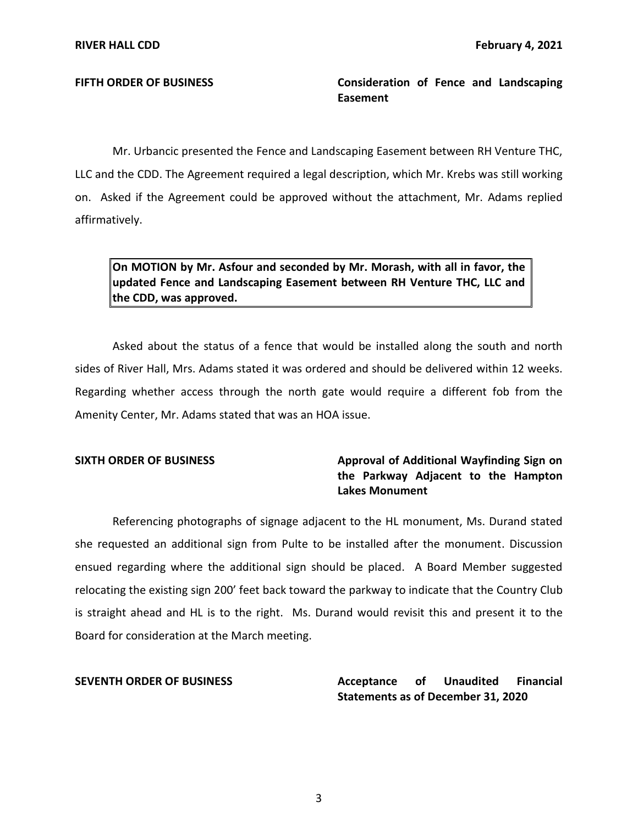**FIFTH ORDER OF BUSINESS Consideration of Fence and Landscaping Easement** 

 Mr. Urbancic presented the Fence and Landscaping Easement between RH Venture THC, LLC and the CDD. The Agreement required a legal description, which Mr. Krebs was still working on. Asked if the Agreement could be approved without the attachment, Mr. Adams replied affirmatively.

 **On MOTION by Mr. Asfour and seconded by Mr. Morash, with all in favor, the updated Fence and Landscaping Easement between RH Venture THC, LLC and the CDD, was approved.** 

 Asked about the status of a fence that would be installed along the south and north sides of River Hall, Mrs. Adams stated it was ordered and should be delivered within 12 weeks. Regarding whether access through the north gate would require a different fob from the Amenity Center, Mr. Adams stated that was an HOA issue.

# SIXTH ORDER OF BUSINESS **Approval of Additional Wayfinding Sign on the Parkway Adjacent to the Hampton Lakes Monument**

 Referencing photographs of signage adjacent to the HL monument, Ms. Durand stated she requested an additional sign from Pulte to be installed after the monument. Discussion ensued regarding where the additional sign should be placed. A Board Member suggested relocating the existing sign 200' feet back toward the parkway to indicate that the Country Club is straight ahead and HL is to the right. Ms. Durand would revisit this and present it to the Board for consideration at the March meeting.

### **Acceptance Statements as of December 31, 2020 SEVENTH ORDER OF BUSINESS Acceptance of Unaudited Financial**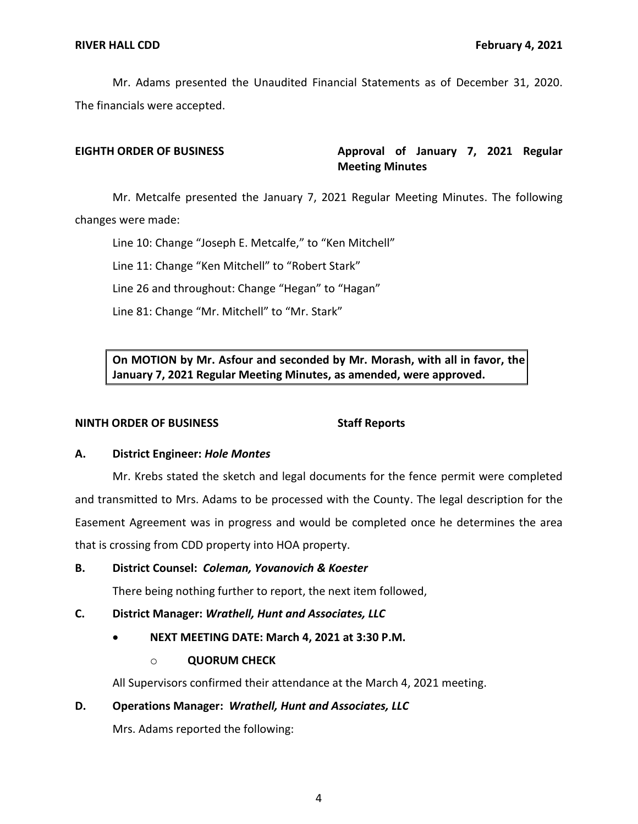Mr. Adams presented the Unaudited Financial Statements as of December 31, 2020. The financials were accepted.

EIGHTH ORDER OF BUSINESS **Approval of January 7, 2021 Regular Meeting Minutes** 

Mr. Metcalfe presented the January 7, 2021 Regular Meeting Minutes. The following changes were made:

Line 10: Change "Joseph E. Metcalfe," to "Ken Mitchell"

Line 11: Change "Ken Mitchell" to "Robert Stark"

Line 26 and throughout: Change "Hegan" to "Hagan"

Line 81: Change "Mr. Mitchell" to "Mr. Stark"

 **On MOTION by Mr. Asfour and seconded by Mr. Morash, with all in favor, the January 7, 2021 Regular Meeting Minutes, as amended, were approved.** 

## **NINTH ORDER OF BUSINESS Staff Reports**

## **A. District Engineer:** *Hole Montes*

 Mr. Krebs stated the sketch and legal documents for the fence permit were completed and transmitted to Mrs. Adams to be processed with the County. The legal description for the Easement Agreement was in progress and would be completed once he determines the area that is crossing from CDD property into HOA property.

 **B. District Counsel:** *Coleman, Yovanovich & Koester* 

There being nothing further to report, the next item followed,

# **C. District Manager:** *Wrathell, Hunt and Associates, LLC*

- **NEXT MEETING DATE: March 4, 2021 at 3:30 P.M.** 
	- o **QUORUM CHECK**

All Supervisors confirmed their attendance at the March 4, 2021 meeting.

# **D. Operations Manager:** *Wrathell, Hunt and Associates, LLC*

Mrs. Adams reported the following: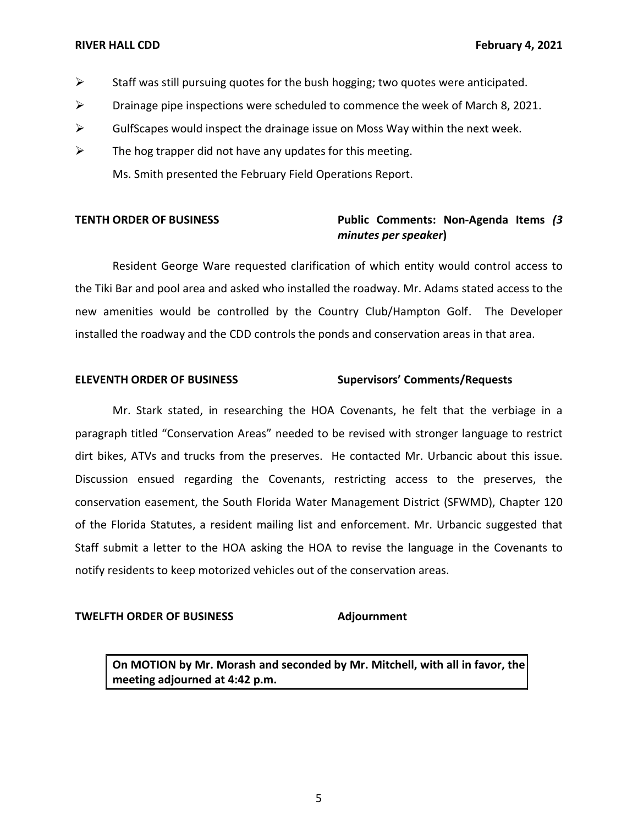- $\triangleright$  Staff was still pursuing quotes for the bush hogging; two quotes were anticipated.
- $\triangleright$  Drainage pipe inspections were scheduled to commence the week of March 8, 2021.
- $\triangleright$  GulfScapes would inspect the drainage issue on Moss Way within the next week.
- $\triangleright$  The hog trapper did not have any updates for this meeting. Ms. Smith presented the February Field Operations Report.

# **TENTH ORDER OF BUSINESS Public Comments: Non-Agenda Items** *(3 minutes per speaker***)**

 Resident George Ware requested clarification of which entity would control access to the Tiki Bar and pool area and asked who installed the roadway. Mr. Adams stated access to the installed the roadway and the CDD controls the ponds and conservation areas in that area. new amenities would be controlled by the Country Club/Hampton Golf. The Developer

# **ELEVENTH ORDER OF BUSINESS Supervisors' Comments/Requests**

 Mr. Stark stated, in researching the HOA Covenants, he felt that the verbiage in a paragraph titled "Conservation Areas" needed to be revised with stronger language to restrict dirt bikes, ATVs and trucks from the preserves. He contacted Mr. Urbancic about this issue.<br>Discussion ensued regarding the Covenants, restricting access to the preserves, the Discussion ensued regarding the Covenants, restricting access to the preserves, the conservation easement, the South Florida Water Management District (SFWMD), Chapter 120 of the Florida Statutes, a resident mailing list and enforcement. Mr. Urbancic suggested that Staff submit a letter to the HOA asking the HOA to revise the language in the Covenants to notify residents to keep motorized vehicles out of the conservation areas.

### **TWELFTH ORDER OF BUSINESS Adjournment**

 **On MOTION by Mr. Morash and seconded by Mr. Mitchell, with all in favor, the meeting adjourned at 4:42 p.m.**